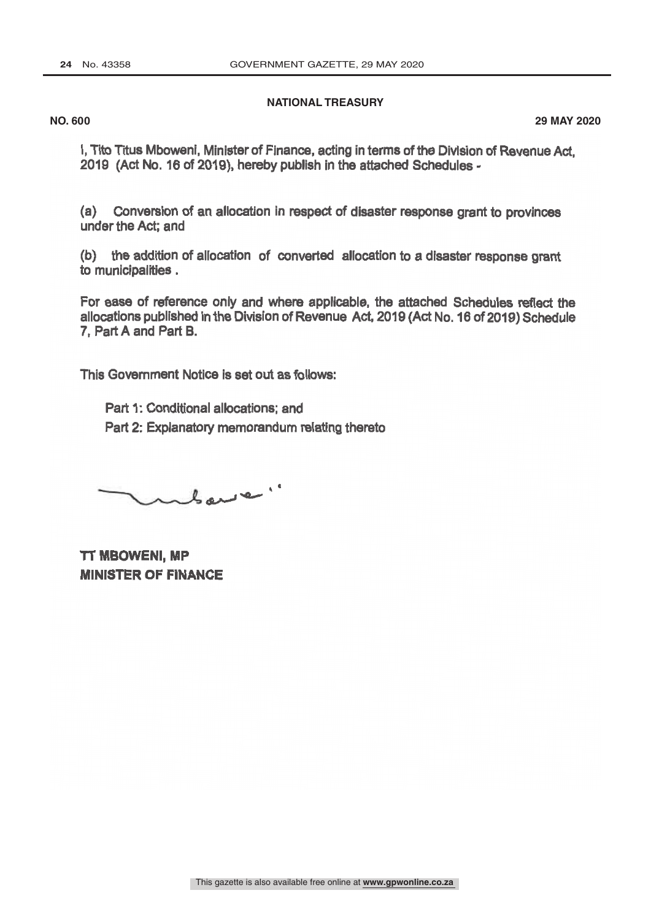## **NATIONAL TREASURY**

**NO. 600 29 MAY 2020**

I, Tito Titus Mboweni, Minister of Finance, acting in terms of the Division of Revenue Act, 2019 (Act No. 16 of 2019), hereby publish in the attached Schedules -

(a) Conversion of an allocation in respect of disaster response grant to provinces under the Act; and

(b) the addition of allocation of converted allocation to a disaster response grant to municipalities .

For ease of reference only and where applicable, the attached Schedules reflect the allocations published in the Division of Revenue Act, 2019(Act No. 16 of 2019) Schedule 7, Part A and Part B.

This Government Notice is set out as follows:

Part 1: Conditional allocations; and Part 2: Explanatory memorandum relating thereto

where."

**TT MBOWENI, MP MINISTER OF FINANCE**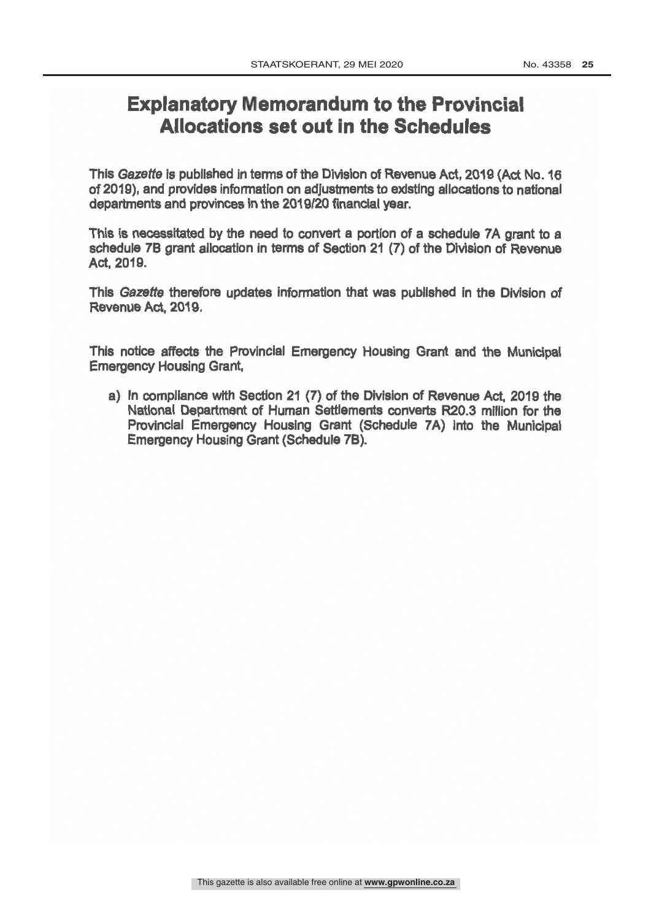## **Explanatory Memorandum to the Provincial** Allocations set out in the Schedules

This Gazette is published in terms of the Division of Revenue Act, 2019 (Act No. 16 of 2019), and provides information on adjustments to existing allocations to national departments and provinces in the 2019/20 financial y

This is necessitated by the need to convert a portion of a schedule 7A grant to a schedule 7B grant allocation in terms of Section 21 (7) of the Division of Revenue Act, 2019.

This Gazette therefore updates information that was published in the Division of Revenue Act, 2019.

This notice affects the Provincial Emergency Housing Grant and the Municipal Emergency Housing Grant,

a) In compliance with Section 21 (7) of the Division of Revenue Act, 2019 the National Department of Human Settlements converts R20.3 million for the Provincial Emergency Housing Grant (Schedule 7A) into the Municipal Emergency Housing Grant (Schedule 7B).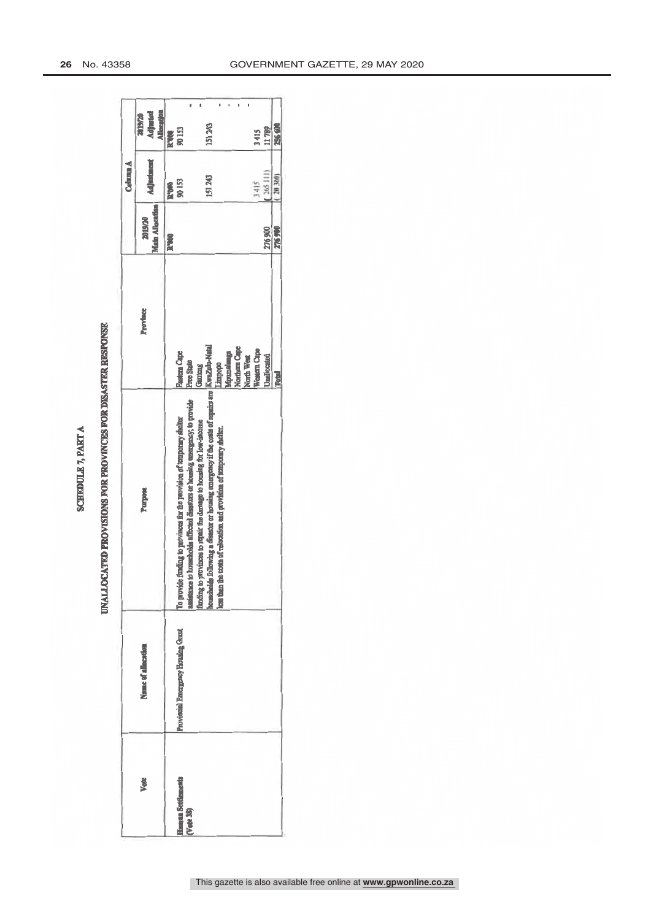| b |
|---|
|   |
|   |
|   |
|   |
|   |
|   |
|   |
|   |

## UNALLOCATED PROVISIONS FOR PROVINCES FOR DISASTER RESPONSE

| Name of allocation<br>Vote                                           |                                                                                                                                                                                                                               |                                                     |                                          | Column A               |                                          |
|----------------------------------------------------------------------|-------------------------------------------------------------------------------------------------------------------------------------------------------------------------------------------------------------------------------|-----------------------------------------------------|------------------------------------------|------------------------|------------------------------------------|
|                                                                      | Purpose                                                                                                                                                                                                                       | Province                                            | <b>Main Allocation</b><br><b>REVOLUE</b> | Adjustment             | <b>Adjusted</b><br>Allocation<br>2019/20 |
|                                                                      |                                                                                                                                                                                                                               |                                                     | <b>R'000</b>                             | <b>R'000</b><br>90 153 |                                          |
| Provincial Emergency Housing Grant<br>Haman Settlements<br>(Vote 38) | assistance to households affected disasters or housing emergency, to provide<br>To provide funding to provinces for the provision of temporary shelter<br>funding to provinces to repair the damage to housing for low-income | <b>Eastern Cape</b><br><b>Free State</b><br>Gamteng |                                          |                        | R'000                                    |
|                                                                      | households following a disaster or housing emergency if the costs of repairs are   KwaZalu-Natal<br>less than the costs of relocation and provision of temporary shelter.                                                     | Limpopo<br>Mpumalanga<br>Northern Cape              |                                          | 151 243                | 151 243                                  |
|                                                                      |                                                                                                                                                                                                                               | Western Cape<br>North West                          |                                          | 3415                   | 3415                                     |
|                                                                      |                                                                                                                                                                                                                               | Unallocated                                         | 276 900                                  | (265111)               | 11789                                    |
|                                                                      |                                                                                                                                                                                                                               | Total                                               | 276900                                   | 20 300)                | 256 600                                  |